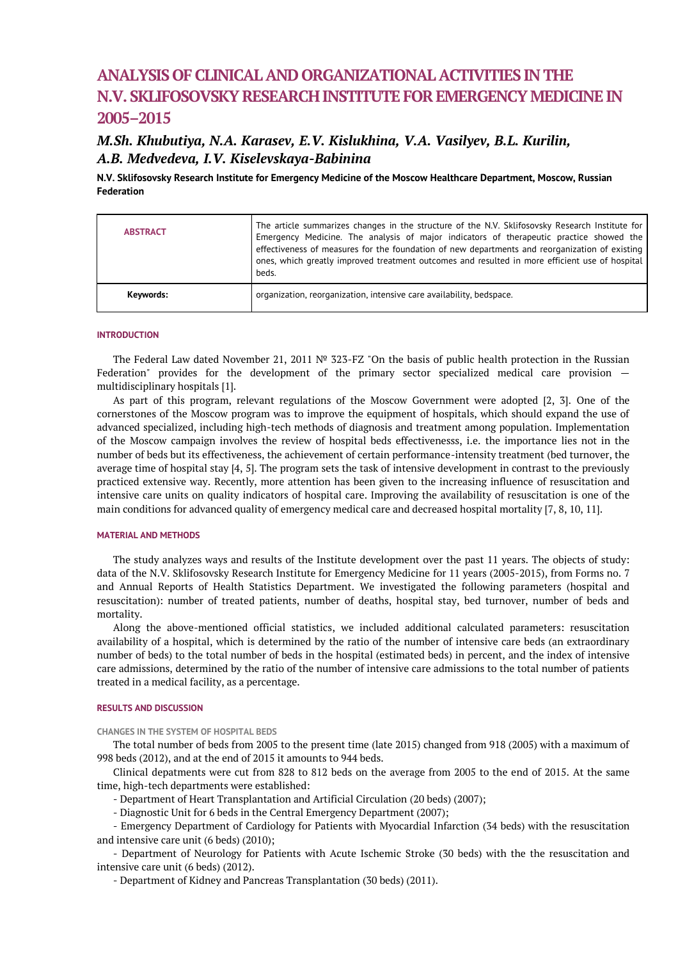# **ANALYSIS OF CLINICAL AND ORGANIZATIONAL ACTIVITIES IN THE N.V. SKLIFOSOVSKY RESEARCH INSTITUTE FOR EMERGENCY MEDICINE IN 2005–2015**

# *M.Sh. Khubutiya, N.A. Karasev, E.V. Kislukhina, V.A. Vasilyev, B.L. Kurilin, A.B. Medvedeva, I.V. Kiselevskaya-Babinina*

**N.V. Sklifosovsky Research Institute for Emergency Medicine of the Moscow Healthcare Department, Moscow, Russian Federation**

| <b>ABSTRACT</b> | The article summarizes changes in the structure of the N.V. Sklifosovsky Research Institute for<br>Emergency Medicine. The analysis of major indicators of therapeutic practice showed the<br>effectiveness of measures for the foundation of new departments and reorganization of existing<br>ones, which greatly improved treatment outcomes and resulted in more efficient use of hospital<br>beds. |
|-----------------|---------------------------------------------------------------------------------------------------------------------------------------------------------------------------------------------------------------------------------------------------------------------------------------------------------------------------------------------------------------------------------------------------------|
| Keywords:       | organization, reorganization, intensive care availability, bedspace.                                                                                                                                                                                                                                                                                                                                    |

# **INTRODUCTION**

The Federal Law dated November 21, 2011 № 323-FZ "On the basis of public health protection in the Russian Federation" provides for the development of the primary sector specialized medical care provision multidisciplinary hospitals [1].

As part of this program, relevant regulations of the Moscow Government were adopted [2, 3]. One of the cornerstones of the Moscow program was to improve the equipment of hospitals, which should expand the use of advanced specialized, including high-tech methods of diagnosis and treatment among population. Implementation of the Moscow campaign involves the review of hospital beds effectivenesss, i.e. the importance lies not in the number of beds but its effectiveness, the achievement of certain performance-intensity treatment (bed turnover, the average time of hospital stay [4, 5]. The program sets the task of intensive development in contrast to the previously practiced extensive way. Recently, more attention has been given to the increasing influence of resuscitation and intensive care units on quality indicators of hospital care. Improving the availability of resuscitation is one of the main conditions for advanced quality of emergency medical care and decreased hospital mortality [7, 8, 10, 11].

#### **MATERIAL AND METHODS**

The study analyzes ways and results of the Institute development over the past 11 years. The objects of study: data of the N.V. Sklifosovsky Research Institute for Emergency Medicine for 11 years (2005-2015), from Forms no. 7 and Annual Reports of Health Statistics Department. We investigated the following parameters (hospital and resuscitation): number of treated patients, number of deaths, hospital stay, bed turnover, number of beds and mortality.

Along the above-mentioned official statistics, we included additional calculated parameters: resuscitation availability of a hospital, which is determined by the ratio of the number of intensive care beds (an extraordinary number of beds) to the total number of beds in the hospital (estimated beds) in percent, and the index of intensive care admissions, determined by the ratio of the number of intensive care admissions to the total number of patients treated in a medical facility, as a percentage.

#### **RESULTS AND DISCUSSION**

**CHANGES IN THE SYSTEM OF HOSPITAL BEDS**

The total number of beds from 2005 to the present time (late 2015) changed from 918 (2005) with a maximum of 998 beds (2012), and at the end of 2015 it amounts to 944 beds.

Clinical depatments were cut from 828 to 812 beds on the average from 2005 to the end of 2015. At the same time, high-tech departments were established:

- Department of Heart Transplantation and Artificial Circulation (20 beds) (2007);

- Diagnostic Unit for 6 beds in the Central Emergency Department (2007);

- Emergency Department of Cardiology for Patients with Myocardial Infarction (34 beds) with the resuscitation and intensive care unit (6 beds) (2010);

- Department of Neurology for Patients with Acute Ischemic Stroke (30 beds) with the the resuscitation and intensive care unit (6 beds) (2012).

- Department of Kidney and Pancreas Transplantation (30 beds) (2011).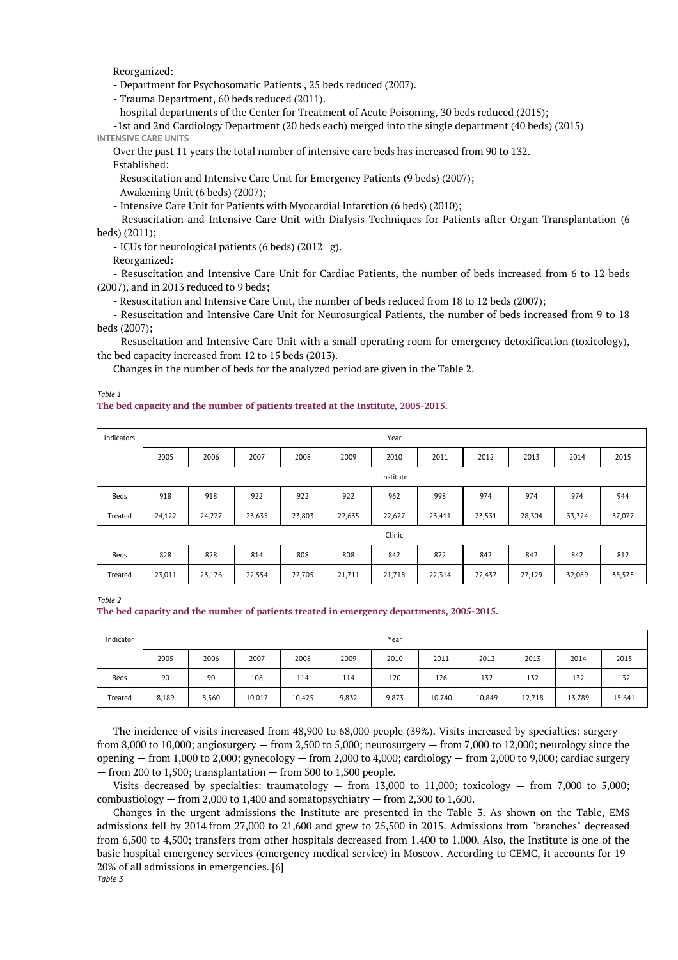Reorganized:

- Department for Psychosomatic Patients , 25 beds reduced (2007).

- Trauma Department, 60 beds reduced (2011).

- hospital departments of the Center for Treatment of Acute Poisoning, 30 beds reduced (2015);

-1st and 2nd Cardiology Department (20 beds each) merged into the single department (40 beds) (2015) **INTENSIVE CARE UNITS**

Over the past 11 years the total number of intensive care beds has increased from 90 to 132. Established:

- Resuscitation and Intensive Care Unit for Emergency Patients (9 beds) (2007);

- Awakening Unit (6 beds) (2007);

- Intensive Care Unit for Patients with Myocardial Infarction (6 beds) (2010);

- Resuscitation and Intensive Care Unit with Dialysis Techniques for Patients after Organ Transplantation (6 beds) (2011);

- ICUs for neurological patients (6 beds) (2012 g).

Reorganized:

- Resuscitation and Intensive Care Unit for Cardiac Patients, the number of beds increased from 6 to 12 beds (2007), and in 2013 reduced to 9 beds;

- Resuscitation and Intensive Care Unit, the number of beds reduced from 18 to 12 beds (2007);

- Resuscitation and Intensive Care Unit for Neurosurgical Patients, the number of beds increased from 9 to 18 beds (2007);

- Resuscitation and Intensive Care Unit with a small operating room for emergency detoxification (toxicology), the bed capacity increased from 12 to 15 beds (2013).

Changes in the number of beds for the analyzed period are given in the Table 2.

*Table 1*

## **The bed capacity and the number of patients treated at the Institute, 2005-2015.**

| Indicators |           | Year   |        |        |        |        |        |        |        |        |        |  |
|------------|-----------|--------|--------|--------|--------|--------|--------|--------|--------|--------|--------|--|
|            | 2005      | 2006   | 2007   | 2008   | 2009   | 2010   | 2011   | 2012   | 2013   | 2014   | 2015   |  |
|            | Institute |        |        |        |        |        |        |        |        |        |        |  |
| Beds       | 918       | 918    | 922    | 922    | 922    | 962    | 998    | 974    | 974    | 974    | 944    |  |
| Treated    | 24,122    | 24,277 | 23,635 | 23,803 | 22,635 | 22,627 | 23,411 | 23,531 | 28,304 | 33,324 | 37,077 |  |
|            | Clinic    |        |        |        |        |        |        |        |        |        |        |  |
| Beds       | 828       | 828    | 814    | 808    | 808    | 842    | 872    | 842    | 842    | 842    | 812    |  |
| Treated    | 23,011    | 23,176 | 22,554 | 22,705 | 21,711 | 21,718 | 22,314 | 22,437 | 27,129 | 32,089 | 35,575 |  |

*Table 2* **The bed capacity and the number of patients treated in emergency departments, 2005-2015.**

| Indicator |       | Year  |        |        |       |       |        |        |        |        |        |
|-----------|-------|-------|--------|--------|-------|-------|--------|--------|--------|--------|--------|
|           | 2005  | 2006  | 2007   | 2008   | 2009  | 2010  | 2011   | 2012   | 2013   | 2014   | 2015   |
| Beds      | 90    | 90    | 108    | 114    | 114   | 120   | 126    | 132    | 132    | 132    | 132    |
| Treated   | 8,189 | 8,560 | 10,012 | 10,425 | 9,832 | 9,873 | 10,740 | 10,849 | 12,718 | 13,789 | 15,641 |

The incidence of visits increased from 48,900 to 68,000 people (39%). Visits increased by specialties: surgery  $$ from 8,000 to 10,000; angiosurgery — from 2,500 to 5,000; neurosurgery — from 7,000 to 12,000; neurology since the opening  $-$  from 1,000 to 2,000; gynecology  $-$  from 2,000 to 4,000; cardiology  $-$  from 2,000 to 9,000; cardiac surgery — from 200 to 1,500; transplantation — from 300 to 1,300 people.

Visits decreased by specialties: traumatology  $-$  from 13,000 to 11,000; toxicology  $-$  from 7,000 to 5,000; combustiology  $-$  from 2,000 to 1,400 and somatopsychiatry  $-$  from 2,300 to 1,600.

Changes in the urgent admissions the Institute are presented in the Table 3. As shown on the Table, EMS admissions fell by 2014 from 27,000 to 21,600 and grew to 25,500 in 2015. Admissions from "branches" decreased from 6,500 to 4,500; transfers from other hospitals decreased from 1,400 to 1,000. Also, the Institute is one of the basic hospital emergency services (emergency medical service) in Moscow. According to CEMC, it accounts for 19- 20% of all admissions in emergencies. [6]

*Table 3*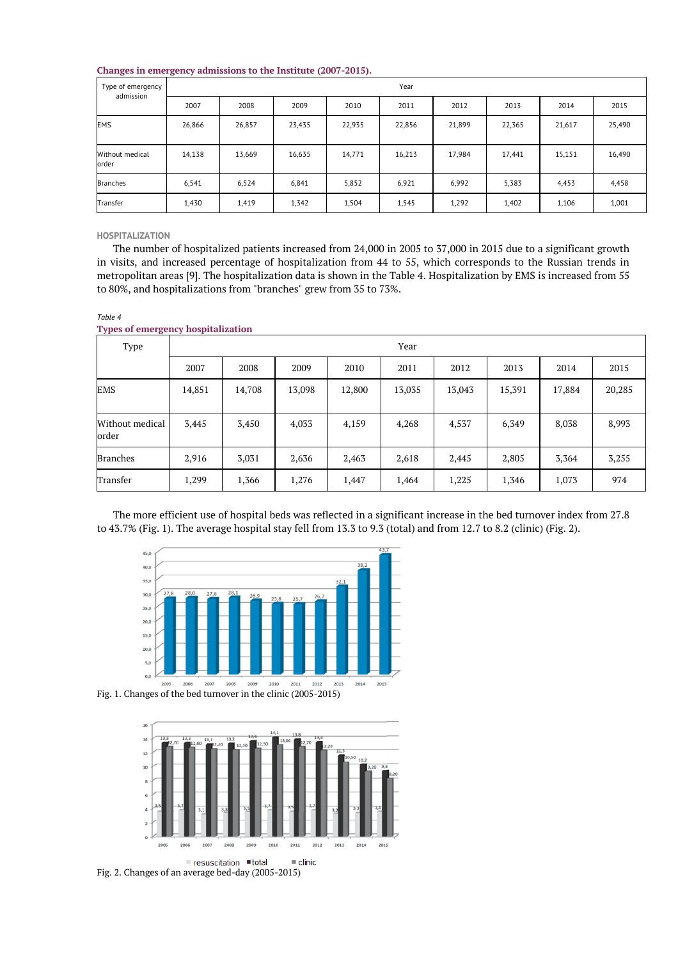# **Changes in emergency admissions to the Institute (2007-2015).**

| Type of emergency<br>admission | Year   |        |        |        |        |        |        |        |        |  |  |
|--------------------------------|--------|--------|--------|--------|--------|--------|--------|--------|--------|--|--|
|                                | 2007   | 2008   | 2009   | 2010   | 2011   | 2012   | 2013   | 2014   | 2015   |  |  |
| <b>EMS</b>                     | 26,866 | 26,857 | 23,435 | 22,935 | 22,856 | 21,899 | 22,365 | 21,617 | 25,490 |  |  |
| Without medical<br>order       | 14,138 | 13,669 | 16,635 | 14,771 | 16,213 | 17,984 | 17,441 | 15,151 | 16,490 |  |  |
| <b>Branches</b>                | 6,541  | 6,524  | 6,841  | 5,852  | 6,921  | 6,992  | 5,383  | 4,453  | 4,458  |  |  |
| Transfer                       | 1,430  | 1,419  | 1,342  | 1,504  | 1,545  | 1,292  | 1,402  | 1,106  | 1,001  |  |  |

#### **HOSPITALIZATION**

*Table 4*

The number of hospitalized patients increased from 24,000 in 2005 to 37,000 in 2015 due to a significant growth in visits, and increased percentage of hospitalization from 44 to 55, which corresponds to the Russian trends in metropolitan areas [9]. The hospitalization data is shown in the Table 4. Hospitalization by EMS is increased from 55 to 80%, and hospitalizations from "branches" grew from 35 to 73%.

| rypes of emergency hospitalization |        |        |        |        |        |        |        |        |        |  |  |
|------------------------------------|--------|--------|--------|--------|--------|--------|--------|--------|--------|--|--|
| Type                               |        |        |        |        | Year   |        |        |        |        |  |  |
|                                    | 2007   | 2008   | 2009   | 2010   | 2011   | 2012   | 2013   | 2014   | 2015   |  |  |
| EMS                                | 14,851 | 14,708 | 13,098 | 12,800 | 13,035 | 13,043 | 15,391 | 17,884 | 20,285 |  |  |
| Without medical<br>order           | 3,445  | 3,450  | 4,033  | 4,159  | 4,268  | 4,537  | 6,349  | 8,038  | 8,993  |  |  |
| <b>Branches</b>                    | 2,916  | 3,031  | 2,636  | 2,463  | 2,618  | 2,445  | 2,805  | 3,364  | 3,255  |  |  |
| Transfer                           | 1,299  | 1,366  | 1,276  | 1,447  | 1,464  | 1,225  | 1,346  | 1,073  | 974    |  |  |

**Types of emergency hospitalization**

The more efficient use of hospital beds was reflected in a significant increase in the bed turnover index from 27.8 to 43.7% (Fig. 1). The average hospital stay fell from 13.3 to 9.3 (total) and from 12.7 to 8.2 (clinic) (Fig. 2).





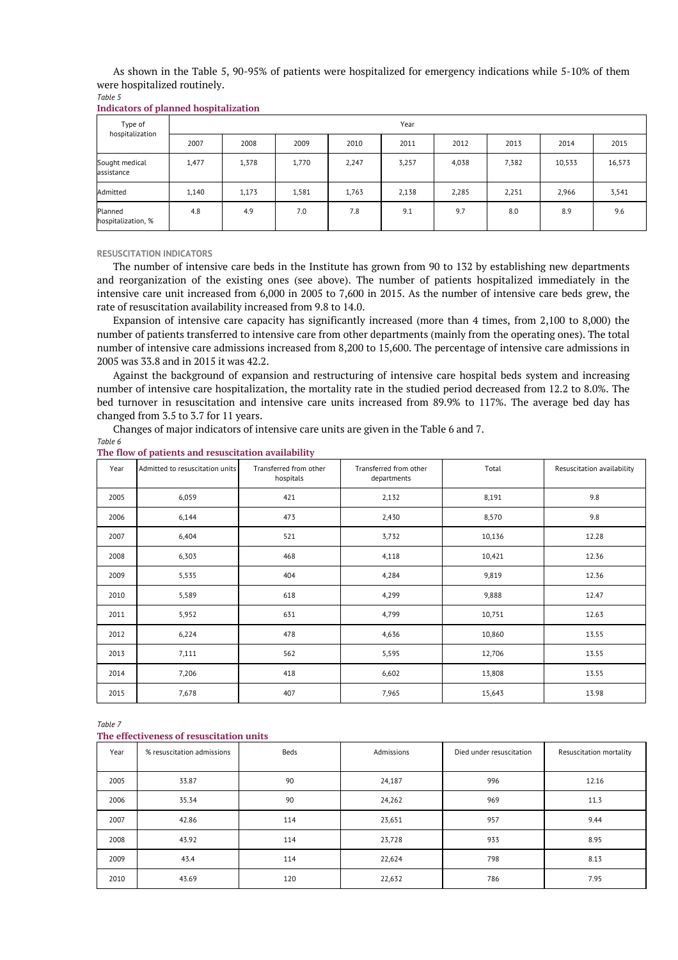As shown in the Table 5, 90-95% of patients were hospitalized for emergency indications while 5-10% of them were hospitalized routinely.

*Table 5*

| Type of<br>hospitalization    |       | Year  |       |       |       |       |       |        |        |  |  |  |
|-------------------------------|-------|-------|-------|-------|-------|-------|-------|--------|--------|--|--|--|
|                               | 2007  | 2008  | 2009  | 2010  | 2011  | 2012  | 2013  | 2014   | 2015   |  |  |  |
| Sought medical<br>assistance  | 1,477 | 1,378 | 1,770 | 2,247 | 3,257 | 4,038 | 7,382 | 10,533 | 16,573 |  |  |  |
| Admitted                      | 1,140 | 1,173 | 1,581 | 1,763 | 2,138 | 2,285 | 2,251 | 2,966  | 3,541  |  |  |  |
| Planned<br>hospitalization, % | 4.8   | 4.9   | 7.0   | 7.8   | 9.1   | 9.7   | 8.0   | 8.9    | 9.6    |  |  |  |

#### **RESUSCITATION INDICATORS**

The number of intensive care beds in the Institute has grown from 90 to 132 by establishing new departments and reorganization of the existing ones (see above). The number of patients hospitalized immediately in the intensive care unit increased from 6,000 in 2005 to 7,600 in 2015. As the number of intensive care beds grew, the rate of resuscitation availability increased from 9.8 to 14.0.

Expansion of intensive care capacity has significantly increased (more than 4 times, from 2,100 to 8,000) the number of patients transferred to intensive care from other departments (mainly from the operating ones). The total number of intensive care admissions increased from 8,200 to 15,600. The percentage of intensive care admissions in 2005 was 33.8 and in 2015 it was 42.2.

Against the background of expansion and restructuring of intensive care hospital beds system and increasing number of intensive care hospitalization, the mortality rate in the studied period decreased from 12.2 to 8.0%. The bed turnover in resuscitation and intensive care units increased from 89.9% to 117%. The average bed day has changed from 3.5 to 3.7 for 11 years.

Changes of major indicators of intensive care units are given in the Table 6 and 7.

#### *Table 6* **The flow of patients and resuscitation availability**

| Year | Admitted to resuscitation units | Transferred from other<br>hospitals | Transferred from other<br>departments | Total  | Resuscitation availability |  |
|------|---------------------------------|-------------------------------------|---------------------------------------|--------|----------------------------|--|
| 2005 | 6,059                           | 421                                 | 2,132                                 | 8,191  | 9.8                        |  |
| 2006 | 6,144                           | 473                                 | 2,430                                 | 8,570  | 9.8                        |  |
| 2007 | 6,404                           | 521                                 | 3,732                                 | 10,136 | 12.28                      |  |
| 2008 | 6,303                           | 468                                 | 4,118                                 | 10,421 | 12.36                      |  |
| 2009 | 5,535                           | 404                                 | 4,284                                 | 9,819  | 12.36                      |  |
| 2010 | 5,589                           | 618                                 | 4,299                                 | 9,888  | 12.47                      |  |
| 2011 | 5,952                           | 631                                 | 4,799                                 | 10,751 | 12.63                      |  |
| 2012 | 6,224                           | 478                                 | 4,636                                 | 10,860 | 13.55                      |  |
| 2013 | 7,111                           | 562                                 | 5,595                                 | 12,706 | 13.55                      |  |
| 2014 | 7,206                           | 418                                 | 6,602                                 | 13,808 | 13.55                      |  |
| 2015 | 7,678                           | 407                                 | 7,965                                 | 15,643 | 13.98                      |  |

#### *Table 7*

#### **The effectiveness of resuscitation units**

| Year | % resuscitation admissions | Beds | Admissions | Died under resuscitation | Resuscitation mortality |
|------|----------------------------|------|------------|--------------------------|-------------------------|
| 2005 | 33.87                      | 90   | 24,187     | 996                      | 12.16                   |
| 2006 | 35.34                      | 90   | 24,262     | 969                      | 11.3                    |
| 2007 | 42.86                      | 114  | 23,651     | 957                      | 9.44                    |
| 2008 | 43.92                      | 114  | 23,728     | 933                      | 8.95                    |
| 2009 | 43.4                       | 114  | 22,624     | 798                      | 8.13                    |
| 2010 | 43.69                      | 120  | 22,632     | 786                      | 7.95                    |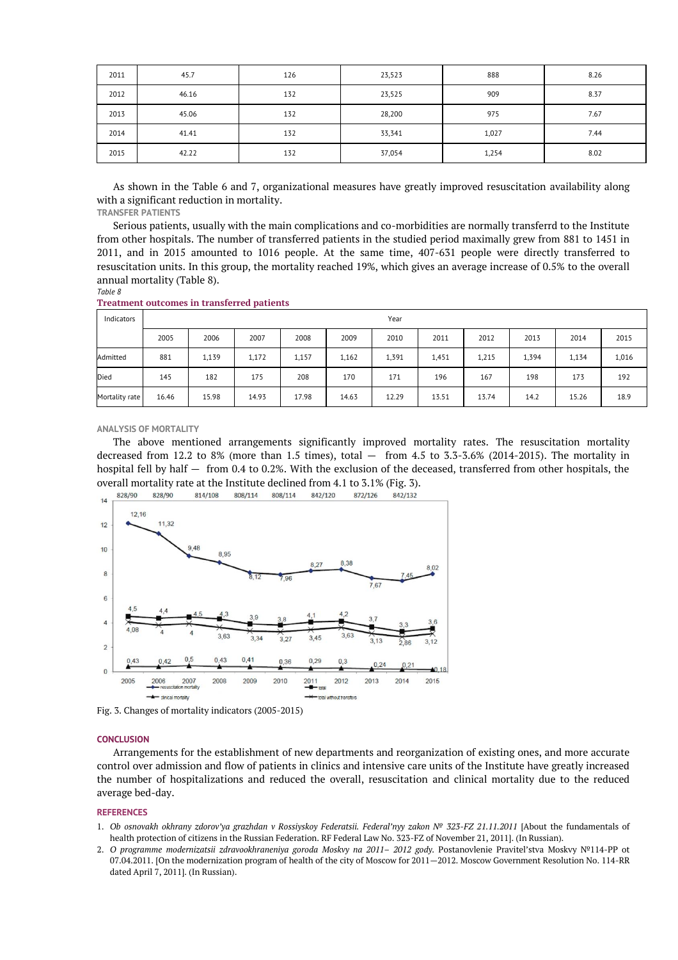| 2011 | 45.7  | 126 | 23,523 | 888   | 8.26 |
|------|-------|-----|--------|-------|------|
| 2012 | 46.16 | 132 | 23,525 | 909   | 8.37 |
| 2013 | 45.06 | 132 | 28,200 | 975   | 7.67 |
| 2014 | 41.41 | 132 | 33,341 | 1,027 | 7.44 |
| 2015 | 42.22 | 132 | 37,054 | 1,254 | 8.02 |

As shown in the Table 6 and 7, organizational measures have greatly improved resuscitation availability along with a significant reduction in mortality.

**TRANSFER PATIENTS**

Serious patients, usually with the main complications and co-morbidities are normally transferrd to the Institute from other hospitals. The number of transferred patients in the studied period maximally grew from 881 to 1451 in 2011, and in 2015 amounted to 1016 people. At the same time, 407-631 people were directly transferred to resuscitation units. In this group, the mortality reached 19%, which gives an average increase of 0.5% to the overall annual mortality (Table 8).

*Table 8*

**Treatment outcomes in transferred patients** 

| Indicators     |       | Year  |       |       |       |       |       |       |       |       |       |  |
|----------------|-------|-------|-------|-------|-------|-------|-------|-------|-------|-------|-------|--|
|                | 2005  | 2006  | 2007  | 2008  | 2009  | 2010  | 2011  | 2012  | 2013  | 2014  | 2015  |  |
| Admitted       | 881   | 1,139 | 1,172 | 1,157 | 1,162 | 1,391 | 1,451 | 1,215 | 1,394 | 1,134 | 1,016 |  |
| Died           | 145   | 182   | 175   | 208   | 170   | 171   | 196   | 167   | 198   | 173   | 192   |  |
| Mortality rate | 16.46 | 15.98 | 14.93 | 17.98 | 14.63 | 12.29 | 13.51 | 13.74 | 14.2  | 15.26 | 18.9  |  |

**ANALYSIS OF MORTALITY**

The above mentioned arrangements significantly improved mortality rates. The resuscitation mortality decreased from 12.2 to 8% (more than 1.5 times), total  $-$  from 4.5 to 3.3-3.6% (2014-2015). The mortality in hospital fell by half — from 0.4 to 0.2%. With the exclusion of the deceased, transferred from other hospitals, the overall mortality rate at the Institute declined from 4.1 to 3.1% (Fig. 3).



Fig. 3. Changes of mortality indicators (2005-2015)

#### **CONCLUSION**

Arrangements for the establishment of new departments and reorganization of existing ones, and more accurate control over admission and flow of patients in clinics and intensive care units of the Institute have greatly increased the number of hospitalizations and reduced the overall, resuscitation and clinical mortality due to the reduced average bed-day.

#### **REFERENCES**

- 1. *Ob osnovakh okhrany zdorov'ya grazhdan v Rossiyskoy Federatsii. Federal'nyy zakon № 323-FZ 21.11.2011* [About the fundamentals of health protection of citizens in the Russian Federation. RF Federal Law No. 323-FZ of November 21, 2011]. (In Russian).
- 2. *O programme modernizatsii zdravookhraneniya goroda Moskvy na 2011– 2012 gody.* Postanovlenie Pravitel'stva Moskvy №114-PP ot 07.04.2011. [On the modernization program of health of the city of Moscow for 2011—2012. Moscow Government Resolution No. 114-RR dated April 7, 2011]. (In Russian).